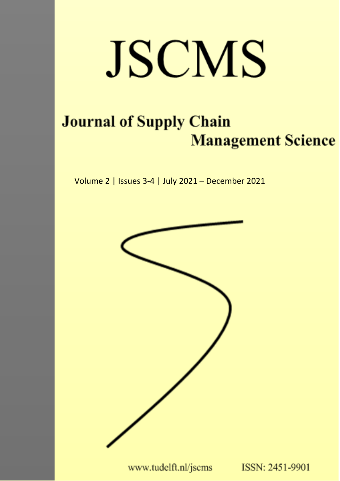# JSCMS

## **Journal of Supply Chain Management Science**

Volume 2 | Issues 3-4 | July 2021 - December 2021



www.tudelft.nl/jscms

ISSN: 2451-9901